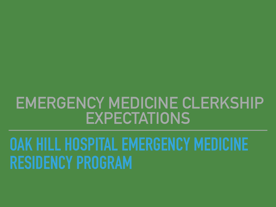## **EMERGENCY MEDICINE CLERKSHIP EXPECTATIONS**

# **OAK HILL HOSPITAL EMERGENCY MEDICINE RESIDENCY PROGRAM**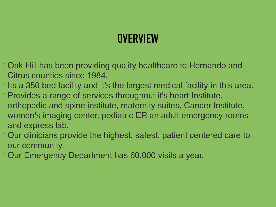- ‣ Oak Hill has been providing quality healthcare to Hernando and Citrus counties since 1984.
- Its a 350 bed facility and it's the largest medical facility in this area. ‣ Provides a range of services throughout it's heart Institute,
- orthopedic and spine institute, maternity suites, Cancer Institute, women's imaging center, pediatric ER an adult emergency rooms and express lab.
- ‣ Our clinicians provide the highest, safest, patient centered care to our community.
- ‣ Our Emergency Department has 60,000 visits a year.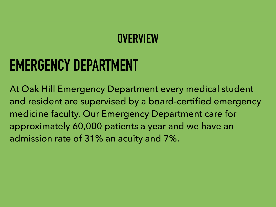## **EMERGENCY DEPARTMENT**

At Oak Hill Emergency Department every medical student and resident are supervised by a board-certified emergency medicine faculty. Our Emergency Department care for approximately 60,000 patients a year and we have an admission rate of 31% an acuity and 7%.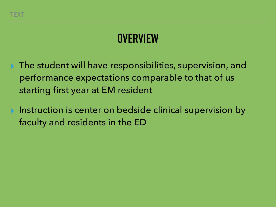- The student will have responsibilities, supervision, and performance expectations comparable to that of us starting first year at EM resident
- Instruction is center on bedside clinical supervision by faculty and residents in the ED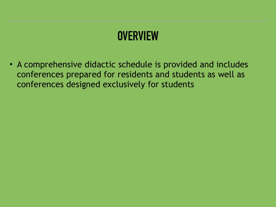• A comprehensive didactic schedule is provided and includes conferences prepared for residents and students as well as conferences designed exclusively for students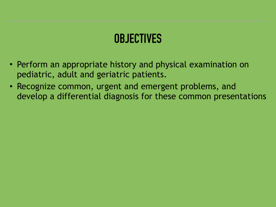## **OBJECTIVES**

- Perform an appropriate history and physical examination on pediatric, adult and geriatric patients.
- Recognize common, urgent and emergent problems, and develop a differential diagnosis for these common presentations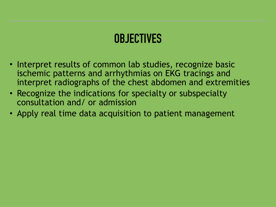## **OBJECTIVES**

- Interpret results of common lab studies, recognize basic ischemic patterns and arrhythmias on EKG tracings and interpret radiographs of the chest abdomen and extremities
- Recognize the indications for specialty or subspecialty consultation and/ or admission
- Apply real time data acquisition to patient management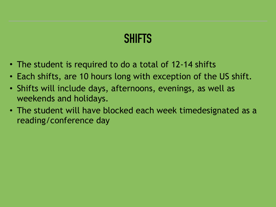#### **SHIFTS**

- The student is required to do a total of 12-14 shifts
- Each shifts, are 10 hours long with exception of the US shift.
- Shifts will include days, afternoons, evenings, as well as weekends and holidays.
- The student will have blocked each week timedesignated as a reading/conference day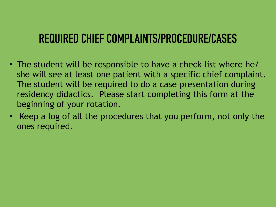#### **REQUIRED CHIEF COMPLAINTS/PROCEDURE/CASES**

- The student will be responsible to have a check list where he/ she will see at least one patient with a specific chief complaint. The student will be required to do a case presentation during residency didactics. Please start completing this form at the beginning of your rotation.
- Keep a log of all the procedures that you perform, not only the ones required.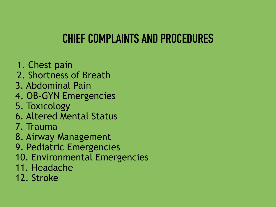## **CHIEF COMPLAINTS AND PROCEDURES**

- 1. Chest pain
- 2. Shortness of Breath
- 3. Abdominal Pain
- 4. OB-GYN Emergencies
- 5. Toxicology
- 6. Altered Mental Status
- 7. Trauma
- 8. Airway Management
- 9. Pediatric Emergencies
- 10. Environmental Emergencies
- 11. Headache
- 12. Stroke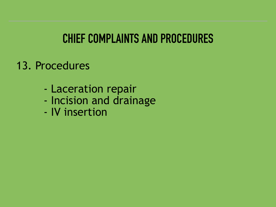## **CHIEF COMPLAINTS AND PROCEDURES**

#### 13. Procedures

- Laceration repair
- Incision and drainage
- IV insertion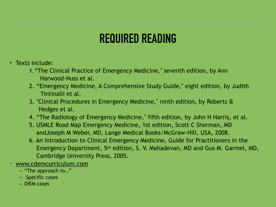## **REQUIRED READING**

- Texts include:
	- 1."The Clinical Practice of Emergency Medicine," seventh edition, by Ann Harwood-Nuss et al.
	- 2. "Emergency Medicine, A Comprehensive Study Guide," eight edition, by Judith Tintinalli et al.
	- 3. "Clinical Procedures in Emergency Medicine," ninth edition, by Roberts & Hedges et al.
	- 4. "The Radiology of Emergency Medicine," fifth edition, by John H Harris, et al.
	- 5. USMLE Road Map Emergency Medicine, 1st edition, Scott C Sherman, MD andJoseph M Weber, MD, Lange Medical Books/McGraw-Hill, USA, 2008.
	- 6. An Introduction to Clinical Emergency Medicine, Guide for Practitioners in the Emergency Department, 5th edition, S. V. Mahadevan, MD and Gus M. Garmel, MD, Cambridge University Press, 2005.
- www.cdemcurriculum.com
	- "The approach to…"
	- Specific cases
	- DIEM cases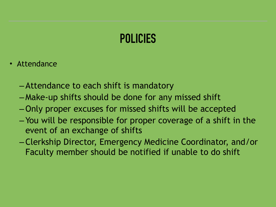## **POLICIES**

- Attendance
	- –Attendance to each shift is mandatory
	- Make-up shifts should be done for any missed shift
	- –Only proper excuses for missed shifts will be accepted
	- You will be responsible for proper coverage of a shift in the event of an exchange of shifts
	- –Clerkship Director, Emergency Medicine Coordinator, and/or Faculty member should be notified if unable to do shift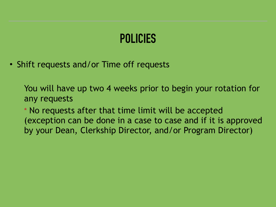## **POLICIES**

• Shift requests and/or Time off requests

You will have up two 4 weeks prior to begin your rotation for any requests

\* No requests after that time limit will be accepted (exception can be done in a case to case and if it is approved by your Dean, Clerkship Director, and/or Program Director)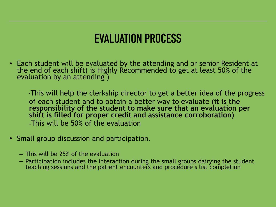#### **EVALUATION PROCESS**

• Each student will be evaluated by the attending and or senior Resident at the end of each shift( is Highly Recommended to get at least 50% of the evaluation by an attending)

 -This will help the clerkship director to get a better idea of the progress of each student and to obtain a better way to evaluate **(it is the responsibility of the student to make sure that an evaluation per shift is filled for proper credit and assistance corroboration) -**This will be 50% of the evaluation

- Small group discussion and participation.
	- This will be 25% of the evaluation
	- Participation includes the interaction during the small groups dairying the student teaching sessions and the patient encounters and procedure's list completion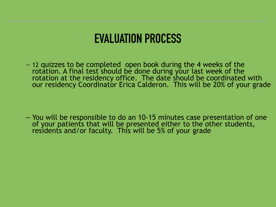#### **EVALUATION PROCESS**

– 12 quizzes to be completed open book during the 4 weeks of the rotation. A final test should be done during your last week of the rotation at the residency office. The date should be coordinated with our residency Coordinator Erica Calderon. This will be 20% of your grade

– You will be responsible to do an 10-15 minutes case presentation of one of your patients that will be presented either to the other students, residents and/or faculty. This will be 5% of your grade